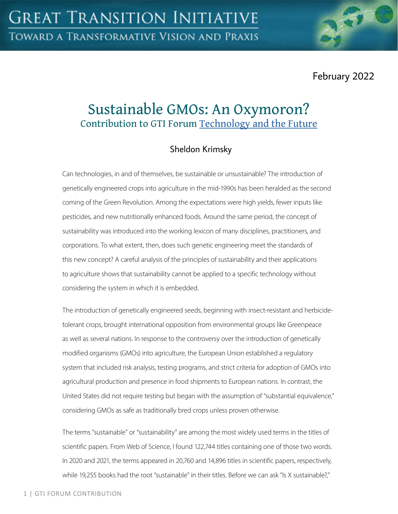February 2022

# Sustainable GMOs: An Oxymoron? Contribution to GTI Forum [Technology and the Future](https://greattransition.org/gti-forum/tech-and-the-future)

## Sheldon Krimsky

Can technologies, in and of themselves, be sustainable or unsustainable? The introduction of genetically engineered crops into agriculture in the mid-1990s has been heralded as the second coming of the Green Revolution. Among the expectations were high yields, fewer inputs like pesticides, and new nutritionally enhanced foods. Around the same period, the concept of sustainability was introduced into the working lexicon of many disciplines, practitioners, and corporations. To what extent, then, does such genetic engineering meet the standards of this new concept? A careful analysis of the principles of sustainability and their applications to agriculture shows that sustainability cannot be applied to a specific technology without considering the system in which it is embedded.

The introduction of genetically engineered seeds, beginning with insect-resistant and herbicidetolerant crops, brought international opposition from environmental groups like Greenpeace as well as several nations. In response to the controversy over the introduction of genetically modified organisms (GMOs) into agriculture, the European Union established a regulatory system that included risk analysis, testing programs, and strict criteria for adoption of GMOs into agricultural production and presence in food shipments to European nations. In contrast, the United States did not require testing but began with the assumption of "substantial equivalence," considering GMOs as safe as traditionally bred crops unless proven otherwise.

The terms "sustainable" or "sustainability" are among the most widely used terms in the titles of scientific papers. From Web of Science, I found 122,744 titles containing one of those two words. In 2020 and 2021, the terms appeared in 20,760 and 14,896 titles in scientific papers, respectively, while 19,255 books had the root "sustainable" in their titles. Before we can ask "Is X sustainable?,"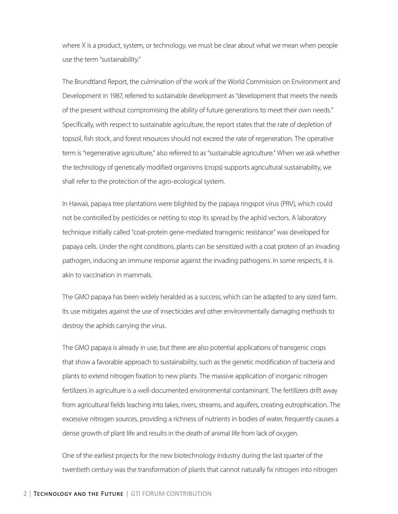where X is a product, system, or technology, we must be clear about what we mean when people use the term "sustainability."

The Brundtland Report, the culmination of the work of the World Commission on Environment and Development in 1987, referred to sustainable development as "development that meets the needs of the present without compromising the ability of future generations to meet their own needs." Specifically, with respect to sustainable agriculture, the report states that the rate of depletion of topsoil, fish stock, and forest resources should not exceed the rate of regeneration. The operative term is "regenerative agriculture," also referred to as "sustainable agriculture." When we ask whether the technology of genetically modified organisms (crops) supports agricultural sustainability, we shall refer to the protection of the agro-ecological system.

In Hawaii, papaya tree plantations were blighted by the papaya ringspot virus (PRV), which could not be controlled by pesticides or netting to stop its spread by the aphid vectors. A laboratory technique initially called "coat-protein gene-mediated transgenic resistance" was developed for papaya cells. Under the right conditions, plants can be sensitized with a coat protein of an invading pathogen, inducing an immune response against the invading pathogens. In some respects, it is akin to vaccination in mammals.

The GMO papaya has been widely heralded as a success, which can be adapted to any sized farm. Its use mitigates against the use of insecticides and other environmentally damaging methods to destroy the aphids carrying the virus.

The GMO papaya is already in use, but there are also potential applications of transgenic crops that show a favorable approach to sustainability, such as the genetic modification of bacteria and plants to extend nitrogen fixation to new plants. The massive application of inorganic nitrogen fertilizers in agriculture is a well-documented environmental contaminant. The fertilizers drift away from agricultural fields leaching into lakes, rivers, streams, and aquifers, creating eutrophication. The excessive nitrogen sources, providing a richness of nutrients in bodies of water, frequently causes a dense growth of plant life and results in the death of animal life from lack of oxygen.

One of the earliest projects for the new biotechnology industry during the last quarter of the twentieth century was the transformation of plants that cannot naturally fix nitrogen into nitrogen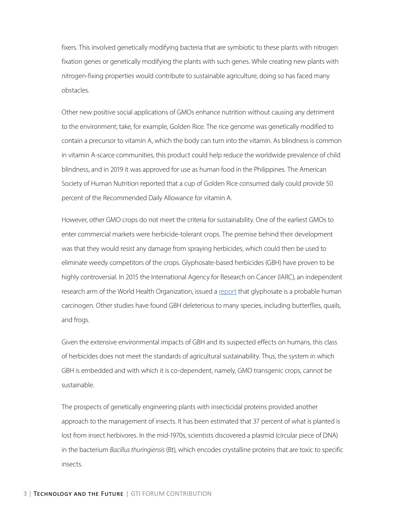fixers. This involved genetically modifying bacteria that are symbiotic to these plants with nitrogen fixation genes or genetically modifying the plants with such genes. While creating new plants with nitrogen-fixing properties would contribute to sustainable agriculture, doing so has faced many obstacles.

Other new positive social applications of GMOs enhance nutrition without causing any detriment to the environment; take, for example, Golden Rice. The rice genome was genetically modified to contain a precursor to vitamin A, which the body can turn into the vitamin. As blindness is common in vitamin A-scarce communities, this product could help reduce the worldwide prevalence of child blindness, and in 2019 it was approved for use as human food in the Philippines. The American Society of Human Nutrition reported that a cup of Golden Rice consumed daily could provide 50 percent of the Recommended Daily Allowance for vitamin A.

However, other GMO crops do not meet the criteria for sustainability. One of the earliest GMOs to enter commercial markets were herbicide-tolerant crops. The premise behind their development was that they would resist any damage from spraying herbicides, which could then be used to eliminate weedy competitors of the crops. Glyphosate-based herbicides (GBH) have proven to be highly controversial. In 2015 the International Agency for Research on Cancer (IARC), an independent research arm of the World Health Organization, issued a [report](https://www.iarc.who.int/featured-news/media-centre-iarc-news-glyphosate/) that glyphosate is a probable human carcinogen. Other studies have found GBH deleterious to many species, including butterflies, quails, and frogs.

Given the extensive environmental impacts of GBH and its suspected effects on humans, this class of herbicides does not meet the standards of agricultural sustainability. Thus, the system in which GBH is embedded and with which it is co-dependent, namely, GMO transgenic crops, cannot be sustainable.

The prospects of genetically engineering plants with insecticidal proteins provided another approach to the management of insects. It has been estimated that 37 percent of what is planted is lost from insect herbivores. In the mid-1970s, scientists discovered a plasmid (circular piece of DNA) in the bacterium *Bacillus thuringiensis* (Bt), which encodes crystalline proteins that are toxic to specific insects.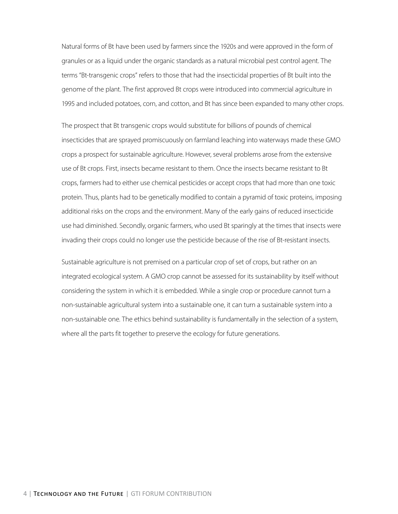Natural forms of Bt have been used by farmers since the 1920s and were approved in the form of granules or as a liquid under the organic standards as a natural microbial pest control agent. The terms "Bt-transgenic crops" refers to those that had the insecticidal properties of Bt built into the genome of the plant. The first approved Bt crops were introduced into commercial agriculture in 1995 and included potatoes, corn, and cotton, and Bt has since been expanded to many other crops.

The prospect that Bt transgenic crops would substitute for billions of pounds of chemical insecticides that are sprayed promiscuously on farmland leaching into waterways made these GMO crops a prospect for sustainable agriculture. However, several problems arose from the extensive use of Bt crops. First, insects became resistant to them. Once the insects became resistant to Bt crops, farmers had to either use chemical pesticides or accept crops that had more than one toxic protein. Thus, plants had to be genetically modified to contain a pyramid of toxic proteins, imposing additional risks on the crops and the environment. Many of the early gains of reduced insecticide use had diminished. Secondly, organic farmers, who used Bt sparingly at the times that insects were invading their crops could no longer use the pesticide because of the rise of Bt-resistant insects.

Sustainable agriculture is not premised on a particular crop of set of crops, but rather on an integrated ecological system. A GMO crop cannot be assessed for its sustainability by itself without considering the system in which it is embedded. While a single crop or procedure cannot turn a non-sustainable agricultural system into a sustainable one, it can turn a sustainable system into a non-sustainable one. The ethics behind sustainability is fundamentally in the selection of a system, where all the parts fit together to preserve the ecology for future generations.